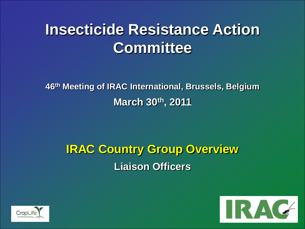**46th Meeting of IRAC International, Brussels, Belgium March 30th, 2011**

## **IRAC Country Group Overview Liaison Officers**



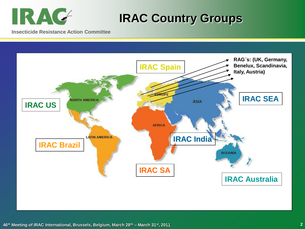

### **IRAC Country Groups**

**Insecticide Resistance Action Committee**

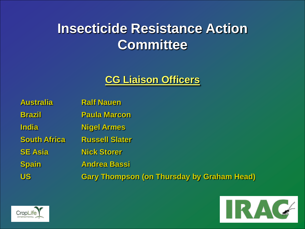#### **CG Liaison Officers**

| <b>Australia</b>    | <b>Ralf Nauen</b>                                 |
|---------------------|---------------------------------------------------|
| <b>Brazil</b>       | <b>Paula Marcon</b>                               |
| <b>India</b>        | <b>Nigel Armes</b>                                |
| <b>South Africa</b> | <b>Russell Slater</b>                             |
| <b>SE Asia</b>      | <b>Nick Storer</b>                                |
| <b>Spain</b>        | <b>Andrea Bassi</b>                               |
| <b>US</b>           | <b>Gary Thompson (on Thursday by Graham Head)</b> |

![](_page_2_Picture_3.jpeg)

![](_page_2_Picture_4.jpeg)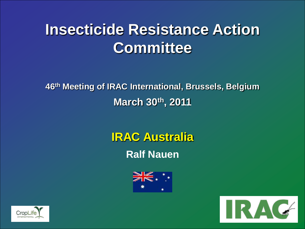**46th Meeting of IRAC International, Brussels, Belgium March 30th, 2011**

> **IRAC Australia Ralf Nauen**

![](_page_3_Picture_3.jpeg)

![](_page_3_Picture_4.jpeg)

![](_page_3_Picture_5.jpeg)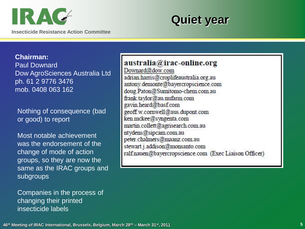![](_page_4_Picture_0.jpeg)

![](_page_4_Picture_1.jpeg)

**Chairman:** Paul Downard Dow AgroSciences Australia Ltd ph. 61 2 9776 3476 mob. 0408 063 162

Nothing of consequence (bad or good) to report

Most notable achievement was the endorsement of the change of mode of action groups, so they are now the same as the IRAC groups and subgroups

Companies in the process of changing their printed insecticide labels

australia@irac-online.org

Downard@dow.com adrian harris@croplifeaustralia.org.au antony.demonte@bayercropscience.com doug Paton@Sumitomo-chem.com.au frank.taylor@au.nufarm.com gavin heard@basf.com geoff.w.comwell@aus.dupont.com ken mckee@syngenta.com martin.collett@agrisearch.com.au ntydens@sipcam.com.au peter.chalmers@maanz.com.au stewart.j.addison@monsanto.com ralf.nauen@bayercropscience.com (Exec Liaison Officer)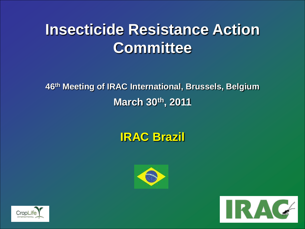**46th Meeting of IRAC International, Brussels, Belgium March 30th, 2011**

## **IRAC Brazil**

![](_page_5_Picture_3.jpeg)

![](_page_5_Picture_4.jpeg)

![](_page_5_Picture_5.jpeg)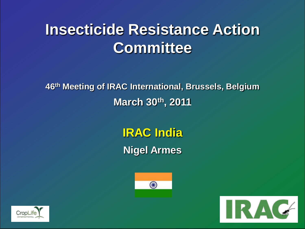**46th Meeting of IRAC International, Brussels, Belgium March 30th, 2011**

> **IRAC India Nigel Armes**

![](_page_6_Picture_3.jpeg)

![](_page_6_Picture_4.jpeg)

![](_page_6_Picture_5.jpeg)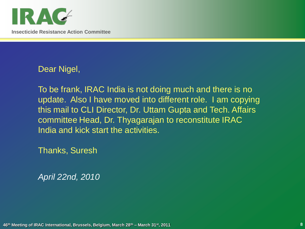![](_page_7_Picture_0.jpeg)

Dear Nigel,

To be frank, IRAC India is not doing much and there is no update. Also I have moved into different role. I am copying this mail to CLI Director, Dr. Uttam Gupta and Tech. Affairs committee Head, Dr. Thyagarajan to reconstitute IRAC India and kick start the activities.

Thanks, Suresh

*April 22nd, 2010*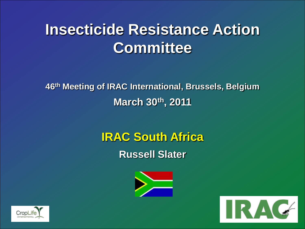**46th Meeting of IRAC International, Brussels, Belgium March 30th, 2011**

> **IRAC South Africa Russell Slater**

![](_page_8_Picture_3.jpeg)

![](_page_8_Picture_4.jpeg)

![](_page_8_Picture_5.jpeg)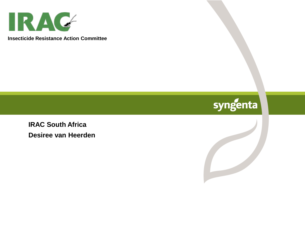![](_page_9_Picture_0.jpeg)

## syngenta

**IRAC South Africa Desiree van Heerden**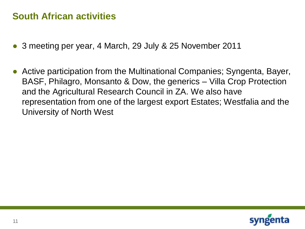#### **South African activities**

- 3 meeting per year, 4 March, 29 July & 25 November 2011
- Active participation from the Multinational Companies; Syngenta, Bayer, BASF, Philagro, Monsanto & Dow, the generics – Villa Crop Protection and the Agricultural Research Council in ZA. We also have representation from one of the largest export Estates; Westfalia and the University of North West

![](_page_10_Picture_3.jpeg)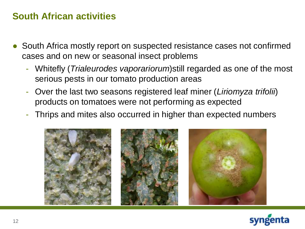#### **South African activities**

- South Africa mostly report on suspected resistance cases not confirmed cases and on new or seasonal insect problems
	- Whitefly (*Trialeurodes vaporariorum*)still regarded as one of the most serious pests in our tomato production areas
	- Over the last two seasons registered leaf miner (*Liriomyza trifolii*) products on tomatoes were not performing as expected
	- Thrips and mites also occurred in higher than expected numbers

![](_page_11_Picture_5.jpeg)

![](_page_11_Picture_6.jpeg)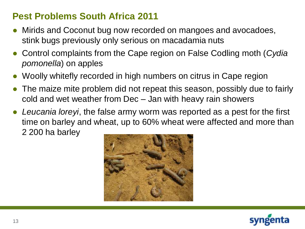#### **Pest Problems South Africa 2011**

- Mirids and Coconut bug now recorded on mangoes and avocadoes, stink bugs previously only serious on macadamia nuts
- Control complaints from the Cape region on False Codling moth (*Cydia pomonella*) on apples
- Woolly whitefly recorded in high numbers on citrus in Cape region
- The maize mite problem did not repeat this season, possibly due to fairly cold and wet weather from Dec – Jan with heavy rain showers
- *Leucania loreyi*, the false army worm was reported as a pest for the first time on barley and wheat, up to 60% wheat were affected and more than 2 200 ha barley

![](_page_12_Picture_6.jpeg)

![](_page_12_Picture_7.jpeg)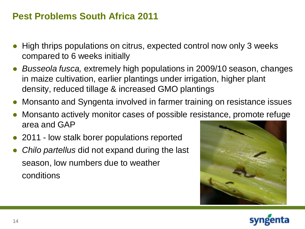#### **Pest Problems South Africa 2011**

- High thrips populations on citrus, expected control now only 3 weeks compared to 6 weeks initially
- *Busseola fusca,* extremely high populations in 2009/10 season, changes in maize cultivation, earlier plantings under irrigation, higher plant density, reduced tillage & increased GMO plantings
- Monsanto and Syngenta involved in farmer training on resistance issues
- Monsanto actively monitor cases of possible resistance, promote refuge area and GAP
- 2011 low stalk borer populations reported
- *Chilo partellus* did not expand during the last season, low numbers due to weather conditions

![](_page_13_Picture_7.jpeg)

![](_page_13_Picture_8.jpeg)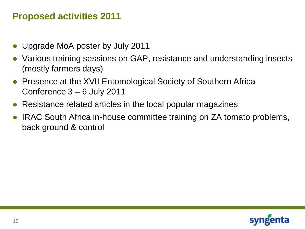#### **Proposed activities 2011**

- Upgrade MoA poster by July 2011
- Various training sessions on GAP, resistance and understanding insects (mostly farmers days)
- Presence at the XVII Entomological Society of Southern Africa Conference 3 – 6 July 2011
- Resistance related articles in the local popular magazines
- IRAC South Africa in-house committee training on ZA tomato problems, back ground & control

![](_page_14_Picture_6.jpeg)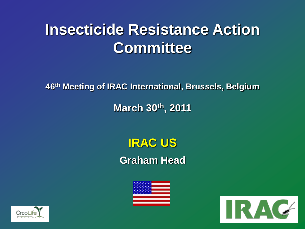**46th Meeting of IRAC International, Brussels, Belgium**

### **March 30th, 2011**

## **IRAC US Graham Head**

![](_page_15_Picture_4.jpeg)

![](_page_15_Picture_5.jpeg)

![](_page_15_Picture_6.jpeg)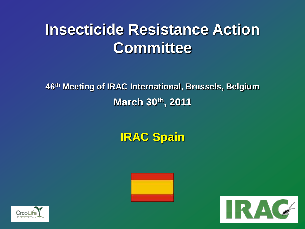**46th Meeting of IRAC International, Brussels, Belgium March 30th, 2011**

**IRAC Spain**

![](_page_16_Picture_3.jpeg)

![](_page_16_Picture_4.jpeg)

![](_page_16_Picture_5.jpeg)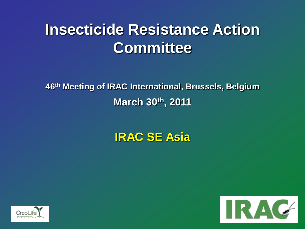**46th Meeting of IRAC International, Brussels, Belgium March 30th, 2011**

## **IRAC SE Asia**

![](_page_17_Picture_3.jpeg)

![](_page_17_Picture_4.jpeg)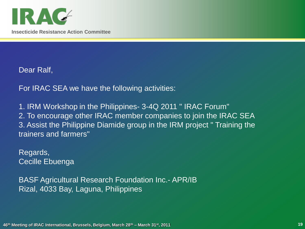![](_page_18_Picture_0.jpeg)

Dear Ralf,

For IRAC SEA we have the following activities:

1. IRM Workshop in the Philippines- 3-4Q 2011 " IRAC Forum" 2. To encourage other IRAC member companies to join the IRAC SEA 3. Assist the Philippine Diamide group in the IRM project " Training the trainers and farmers"

Regards, Cecille Ebuenga

BASF Agricultural Research Foundation Inc.- APR/IB Rizal, 4033 Bay, Laguna, Philippines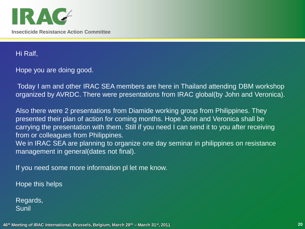![](_page_19_Picture_0.jpeg)

Hi Ralf,

Hope you are doing good.

Today I am and other IRAC SEA members are here in Thailand attending DBM workshop organized by AVRDC. There were presentations from IRAC global(by John and Veronica).

Also there were 2 presentations from Diamide working group from Philippines. They presented their plan of action for coming months. Hope John and Veronica shall be carrying the presentation with them. Still if you need I can send it to you after receiving from or colleagues from Philippines.

We in IRAC SEA are planning to organize one day seminar in philippines on resistance management in general(dates not final).

If you need some more information pl let me know.

Hope this helps

Regards, Sunil